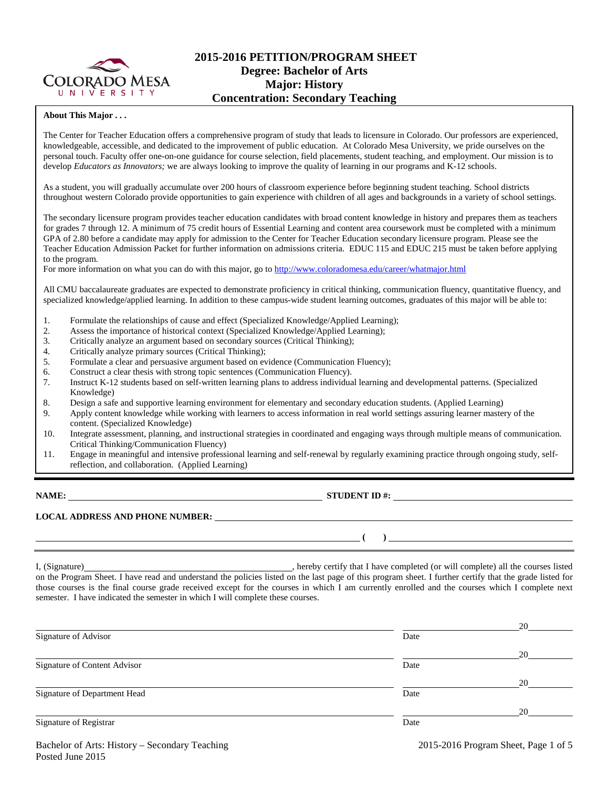

# **2015-2016 PETITION/PROGRAM SHEET Degree: Bachelor of Arts Major: History Concentration: Secondary Teaching**

### **About This Major . . .**

The Center for Teacher Education offers a comprehensive program of study that leads to licensure in Colorado. Our professors are experienced, knowledgeable, accessible, and dedicated to the improvement of public education. At Colorado Mesa University, we pride ourselves on the personal touch. Faculty offer one-on-one guidance for course selection, field placements, student teaching, and employment. Our mission is to develop *Educators as Innovators;* we are always looking to improve the quality of learning in our programs and K-12 schools.

As a student, you will gradually accumulate over 200 hours of classroom experience before beginning student teaching. School districts throughout western Colorado provide opportunities to gain experience with children of all ages and backgrounds in a variety of school settings.

The secondary licensure program provides teacher education candidates with broad content knowledge in history and prepares them as teachers for grades 7 through 12. A minimum of 75 credit hours of Essential Learning and content area coursework must be completed with a minimum GPA of 2.80 before a candidate may apply for admission to the Center for Teacher Education secondary licensure program. Please see the Teacher Education Admission Packet for further information on admissions criteria. EDUC 115 and EDUC 215 must be taken before applying to the program.

For more information on what you can do with this major, go to<http://www.coloradomesa.edu/career/whatmajor.html>

All CMU baccalaureate graduates are expected to demonstrate proficiency in critical thinking, communication fluency, quantitative fluency, and specialized knowledge/applied learning. In addition to these campus-wide student learning outcomes, graduates of this major will be able to:

- 1. Formulate the relationships of cause and effect (Specialized Knowledge/Applied Learning);
- 2. Assess the importance of historical context (Specialized Knowledge/Applied Learning);
- 3. Critically analyze an argument based on secondary sources (Critical Thinking);
- 4. Critically analyze primary sources (Critical Thinking);<br>5. Formulate a clear and persuasive argument based on ev
- 5. Formulate a clear and persuasive argument based on evidence (Communication Fluency);
- 6. Construct a clear thesis with strong topic sentences (Communication Fluency).
- 7. Instruct K-12 students based on self-written learning plans to address individual learning and developmental patterns. (Specialized Knowledge)
- 8. Design a safe and supportive learning environment for elementary and secondary education students. (Applied Learning)
- 9. Apply content knowledge while working with learners to access information in real world settings assuring learner mastery of the content. (Specialized Knowledge)
- 10. Integrate assessment, planning, and instructional strategies in coordinated and engaging ways through multiple means of communication. Critical Thinking/Communication Fluency)
- 11. Engage in meaningful and intensive professional learning and self-renewal by regularly examining practice through ongoing study, selfreflection, and collaboration. (Applied Learning)

**NAME: STUDENT ID #:**

 $($   $)$   $)$ 

# **LOCAL ADDRESS AND PHONE NUMBER:**

I, (Signature) **Source 2008** (Signature) **, hereby certify that I have completed** (or will complete) all the courses listed on the Program Sheet. I have read and understand the policies listed on the last page of this program sheet. I further certify that the grade listed for those courses is the final course grade received except for the courses in which I am currently enrolled and the courses which I complete next semester. I have indicated the semester in which I will complete these courses.

|                              |      | 20 |
|------------------------------|------|----|
| Signature of Advisor         | Date |    |
|                              |      | 20 |
| Signature of Content Advisor | Date |    |
|                              |      | 20 |
| Signature of Department Head | Date |    |
|                              |      | 20 |
| Signature of Registrar       | Date |    |
|                              |      |    |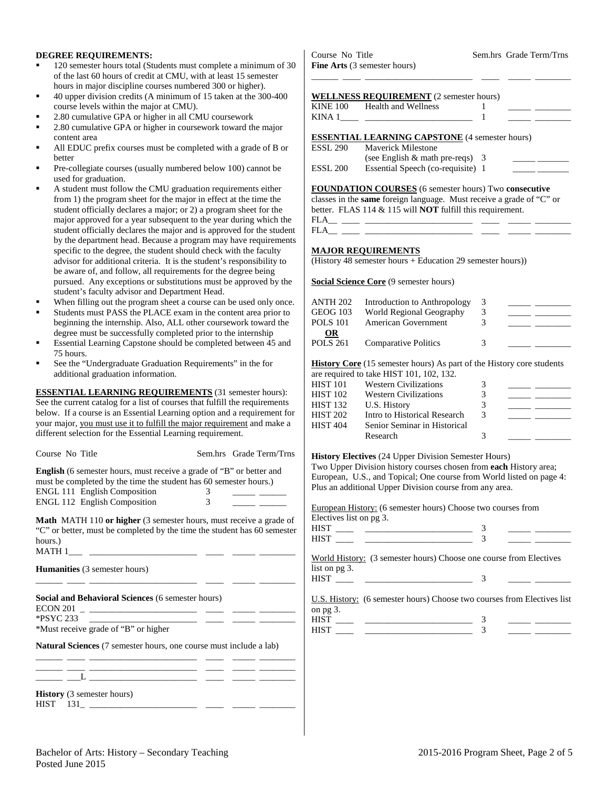### **DEGREE REQUIREMENTS:**

- 120 semester hours total (Students must complete a minimum of 30 of the last 60 hours of credit at CMU, with at least 15 semester hours in major discipline courses numbered 300 or higher).
- 40 upper division credits (A minimum of 15 taken at the 300-400 course levels within the major at CMU).
- 2.80 cumulative GPA or higher in all CMU coursework
- 2.80 cumulative GPA or higher in coursework toward the major content area
- All EDUC prefix courses must be completed with a grade of B or better
- Pre-collegiate courses (usually numbered below 100) cannot be used for graduation.
- A student must follow the CMU graduation requirements either from 1) the program sheet for the major in effect at the time the student officially declares a major; or 2) a program sheet for the major approved for a year subsequent to the year during which the student officially declares the major and is approved for the student by the department head. Because a program may have requirements specific to the degree, the student should check with the faculty advisor for additional criteria. It is the student's responsibility to be aware of, and follow, all requirements for the degree being pursued. Any exceptions or substitutions must be approved by the student's faculty advisor and Department Head.
- When filling out the program sheet a course can be used only once.
- Students must PASS the PLACE exam in the content area prior to beginning the internship. Also, ALL other coursework toward the degree must be successfully completed prior to the internship
- Essential Learning Capstone should be completed between 45 and 75 hours.
- See the "Undergraduate Graduation Requirements" in the for additional graduation information.

**ESSENTIAL LEARNING REQUIREMENTS** (31 semester hours): See the current catalog for a list of courses that fulfill the requirements below. If a course is an Essential Learning option and a requirement for your major, you must use it to fulfill the major requirement and make a different selection for the Essential Learning requirement.

| Course No Title                                                                                                                                                                                                         |        | Sem.hrs Grade Term/Trns |
|-------------------------------------------------------------------------------------------------------------------------------------------------------------------------------------------------------------------------|--------|-------------------------|
| <b>English</b> (6 semester hours, must receive a grade of "B" or better and<br>must be completed by the time the student has 60 semester hours.)<br><b>ENGL 111 English Composition</b><br>ENGL 112 English Composition | 3<br>3 |                         |
| <b>Math</b> MATH 110 or higher (3 semester hours, must receive a grade of<br>"C" or better, must be completed by the time the student has 60 semester<br>hours.)                                                        |        |                         |
| <b>Humanities</b> (3 semester hours)                                                                                                                                                                                    |        |                         |
| <u> 1999 - Jan James James, martin (f. 1920)</u><br>Social and Behavioral Sciences (6 semester hours)                                                                                                                   |        |                         |
| *Must receive grade of "B" or higher                                                                                                                                                                                    |        |                         |
| Natural Sciences (7 semester hours, one course must include a lab)<br><u> 2002 - Johann John Stone, mars and de la provincia de la provincia de la provincia de la provincia de la pro</u>                              |        |                         |
| <b>History</b> (3 semester hours)<br>$HIST$ 131<br>the control of the control of the control of the control of                                                                                                          |        |                         |

Course No Title Sem.hrs Grade Term/Trns **Fine Arts** (3 semester hours)

|  | <b>FINE AT to</b> ( <i>)</i> semester notics) |  |  |  |  |
|--|-----------------------------------------------|--|--|--|--|
|  |                                               |  |  |  |  |
|  |                                               |  |  |  |  |

| KINE 100 Health and Wellness |  |  |
|------------------------------|--|--|
| KINA 1                       |  |  |

**ESSENTIAL LEARNING CAPSTONE** (4 semester hours)<br>ESSL 290 Maverick Milestone

| ESSL 290 | <b>Maverick Milestone</b>         |  |
|----------|-----------------------------------|--|
|          | (see English $&$ math pre-reqs) 3 |  |
| ESSL 200 | Essential Speech (co-requisite) 1 |  |

**FOUNDATION COURSES** (6 semester hours) Two **consecutive**

classes in the **same** foreign language. Must receive a grade of "C" or better. FLAS 114 & 115 will **NOT** fulfill this requirement.

FLA\_\_ \_\_\_\_ \_\_\_\_\_\_\_\_\_\_\_\_\_\_\_\_\_\_\_\_\_\_\_\_ \_\_\_\_ \_\_\_\_\_ \_\_\_\_\_\_\_\_

## **MAJOR REQUIREMENTS**

(History 48 semester hours + Education 29 semester hours))

**Social Science Core** (9 semester hours)

| <b>ANTH 202</b><br><b>GEOG 103</b><br><b>POLS 101</b> | Introduction to Anthropology<br>World Regional Geography<br>American Government | 3<br>3 |  |
|-------------------------------------------------------|---------------------------------------------------------------------------------|--------|--|
| OR<br><b>POLS 261</b>                                 | <b>Comparative Politics</b>                                                     | 3      |  |

**History Core** (15 semester hours) As part of the History core students

|                 | are required to take HIST 101, 102, 132. |               |  |
|-----------------|------------------------------------------|---------------|--|
| HIST 101        | <b>Western Civilizations</b>             | 3             |  |
| HIST 102        | <b>Western Civilizations</b>             | 3             |  |
| HIST 132        | U.S. History                             |               |  |
| HIST 202        | Intro to Historical Research             | $\mathcal{R}$ |  |
| <b>HIST 404</b> | Senior Seminar in Historical             |               |  |
|                 | Research                                 |               |  |
|                 |                                          |               |  |

### **History Electives** (24 Upper Division Semester Hours)

Two Upper Division history courses chosen from **each** History area; European, U.S., and Topical; One course from World listed on page 4: Plus an additional Upper Division course from any area.

European History: (6 semester hours) Choose two courses from Electives list on pg 3.

| <b>HIST</b> |  |
|-------------|--|
| <b>HIST</b> |  |
|             |  |

World History: (3 semester hours) Choose one course from Electives list on pg 3. HIST \_\_\_\_ \_\_\_\_\_\_\_\_\_\_\_\_\_\_\_\_\_\_\_\_\_\_\_\_ 3 \_\_\_\_\_ \_\_\_\_\_\_\_\_

 $\frac{3}{2}$  $\overline{\mathbf{3}}$ 

U.S. History: (6 semester hours) Choose two courses from Electives list on pg 3.

|                                                                                  |  | the control of the control of the control of the control of the control of the control of |
|----------------------------------------------------------------------------------|--|-------------------------------------------------------------------------------------------|
| ,我们也不会有什么?""我们的人,我们也不会有什么?""我们的人,我们也不会有什么?""我们的人,我们也不会有什么?""我们的人,我们也不会有什么?""我们的人 |  |                                                                                           |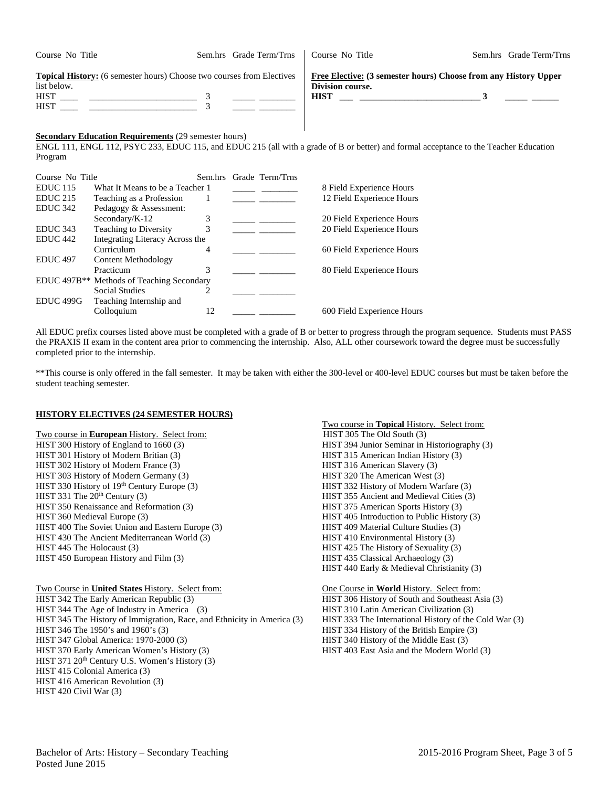| Course No Title                                                                                                           | Sem.hrs Grade Term/Trns | Course No Title                                                                                    | Sem.hrs Grade Term/Trns |
|---------------------------------------------------------------------------------------------------------------------------|-------------------------|----------------------------------------------------------------------------------------------------|-------------------------|
| <b>Topical History:</b> (6 semester hours) Choose two courses from Electives<br>list below.<br><b>HIST</b><br><b>HIST</b> |                         | Free Elective: (3 semester hours) Choose from any History Upper<br>Division course.<br><b>HIST</b> |                         |

## **Secondary Education Requirements** (29 semester hours)

ENGL 111, ENGL 112, PSYC 233, EDUC 115, and EDUC 215 (all with a grade of B or better) and formal acceptance to the Teacher Education Program

| Course No Title      |                                                       |    | Sem.hrs Grade Term/Trns |                            |
|----------------------|-------------------------------------------------------|----|-------------------------|----------------------------|
| $EDUC$ 115           | What It Means to be a Teacher 1                       |    |                         | 8 Field Experience Hours   |
| $EDUC$ 215           | Teaching as a Profession                              |    |                         | 12 Field Experience Hours  |
| EDUC <sub>342</sub>  | Pedagogy & Assessment:                                |    |                         |                            |
|                      | Secondary/K-12                                        | 3  |                         | 20 Field Experience Hours  |
| EDUC <sub>343</sub>  | Teaching to Diversity                                 |    |                         | 20 Field Experience Hours  |
| EDUC <sub>442</sub>  | Integrating Literacy Across the                       |    |                         |                            |
|                      | Curriculum                                            | 4  |                         | 60 Field Experience Hours  |
| EDUC <sub>497</sub>  | Content Methodology                                   |    |                         |                            |
|                      | Practicum                                             | 3  |                         | 80 Field Experience Hours  |
|                      | EDUC 497B <sup>**</sup> Methods of Teaching Secondary |    |                         |                            |
|                      | <b>Social Studies</b>                                 |    |                         |                            |
| EDUC <sub>499G</sub> | Teaching Internship and                               |    |                         |                            |
|                      | Colloquium                                            | 12 |                         | 600 Field Experience Hours |

All EDUC prefix courses listed above must be completed with a grade of B or better to progress through the program sequence. Students must PASS the PRAXIS II exam in the content area prior to commencing the internship. Also, ALL other coursework toward the degree must be successfully completed prior to the internship.

\*\*This course is only offered in the fall semester. It may be taken with either the 300-level or 400-level EDUC courses but must be taken before the student teaching semester.

#### **HISTORY ELECTIVES (24 SEMESTER HOURS)**

Two course in **European** History. Select from: HIST 305 The Old South (3) HIST 300 History of England to 1660 (3) HIST 394 Junior Seminar in Historiography (3) HIST 301 History of Modern Britian (3)<br>
HIST 315 American Indian History (3)<br>
HIST 316 American Slavery (3) HIST 302 History of Modern France (3)<br>
HIST 303 History of Modern Germany (3)<br>
HIST 320 The American West (3) HIST 303 History of Modern Germany (3)<br>
HIST 320 The American West (3)<br>
HIST 332 History of Modern Warfare (3)<br>
HIST 332 History of Modern Warfare (3) HIST 330 History of 19th Century Europe (3) HIST 331 The 20<sup>th</sup> Century (3) HIST 355 Ancient and Medieval Cities (3) HIST 350 Renaissance and Reformation (3) HIST 375 American Sports History (3) HIST 360 Medieval Europe (3) HIST 405 Introduction to Public History (3) HIST 400 The Soviet Union and Eastern Europe (3) HIST 409 Material Culture Studies (3) HIST 430 The Ancient Mediterranean World (3) HIST 410 Environmental History (3) HIST 445 The Holocaust (3) HIST 425 The History of Sexuality (3)

Two Course in **United States** History. Select from: One Course in **World** History. Select from: HIST 342 The Early American Republic (3) HIST 306 History of South and Southeast Asia (3) HIST 344 The Age of Industry in America (3) HIST 310 Latin American Civilization (3) HIST 345 The History of Immigration, Race, and Ethnicity in America (3) HIST 333 The International History of the Cold War (3) HIST 346 The 1950's and 1960's (3) HIST 334 History of the British Empire (3) HIST 346 The 1950's and 1960's (3)<br>
HIST 347 Global America: 1970-2000 (3) HIST 340 History of the Middle East (3) HIST 370 Early American Women's History (3) HIST 403 East Asia and the Modern World (3) HIST 371 20<sup>th</sup> Century U.S. Women's History (3) HIST 415 Colonial America (3) HIST 416 American Revolution (3) HIST 420 Civil War (3)

Two course in **Topical** History. Select from: HIST 450 European History and Film (3) HIST 435 Classical Archaeology (3) HIST 440 Early & Medieval Christianity (3)

HIST 340 History of the Middle East (3)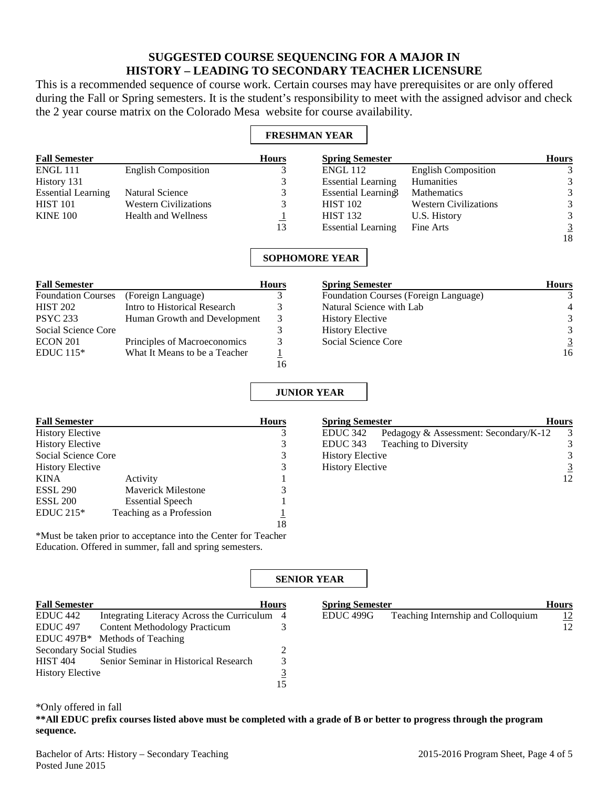# **SUGGESTED COURSE SEQUENCING FOR A MAJOR IN HISTORY – LEADING TO SECONDARY TEACHER LICENSURE**

This is a recommended sequence of course work. Certain courses may have prerequisites or are only offered during the Fall or Spring semesters. It is the student's responsibility to meet with the assigned advisor and check the 2 year course matrix on the Colorado Mesa website for course availability.

## **FRESHMAN YEAR**

| <b>Fall Semester</b>      |                              | <b>Hours</b> | <b>Spring Semester</b>    |                              | <b>Hours</b>   |
|---------------------------|------------------------------|--------------|---------------------------|------------------------------|----------------|
| <b>ENGL 111</b>           | <b>English Composition</b>   |              | ENGL 112                  | <b>English Composition</b>   | 3              |
| History 131               |                              |              | <b>Essential Learning</b> | Humanities                   | 3              |
| <b>Essential Learning</b> | Natural Science              |              | Essential Learning        | Mathematics                  | 3              |
| <b>HIST 101</b>           | <b>Western Civilizations</b> |              | <b>HIST 102</b>           | <b>Western Civilizations</b> | 3              |
| <b>KINE 100</b>           | <b>Health and Wellness</b>   |              | <b>HIST 132</b>           | U.S. History                 | 3              |
|                           |                              | 13           | <b>Essential Learning</b> | Fine Arts                    | $\overline{3}$ |
|                           |                              |              |                           |                              | 18             |

## **SOPHOMORE YEAR**

| <b>Fall Semester</b>      |                               | <b>Hours</b> |
|---------------------------|-------------------------------|--------------|
| <b>Foundation Courses</b> | (Foreign Language)            |              |
| <b>HIST 202</b>           | Intro to Historical Research  | 3            |
| <b>PSYC 233</b>           | Human Growth and Development  | 3            |
| Social Science Core       |                               | 3            |
| ECON 201                  | Principles of Macroeconomics  | 3            |
| EDUC $115*$               | What It Means to be a Teacher |              |
|                           |                               |              |

| <b>Spring Semester</b>                | <b>Hours</b> |
|---------------------------------------|--------------|
| Foundation Courses (Foreign Language) |              |
| Natural Science with Lab              |              |
| <b>History Elective</b>               |              |
| <b>History Elective</b>               |              |
| Social Science Core                   |              |
|                                       | 16           |

## **JUNIOR YEAR**

| <b>Fall Semester</b>    |                          | <b>Hours</b> |
|-------------------------|--------------------------|--------------|
| <b>History Elective</b> |                          | 3            |
| <b>History Elective</b> |                          | 3            |
| Social Science Core     |                          |              |
| <b>History Elective</b> |                          | 3            |
| <b>KINA</b>             | Activity                 |              |
| <b>ESSL 290</b>         | Maverick Milestone       | 3            |
| <b>ESSL 200</b>         | <b>Essential Speech</b>  |              |
| EDUC $215*$             | Teaching as a Profession |              |
|                         |                          |              |

\*Must be taken prior to acceptance into the Center for Teacher Education. Offered in summer, fall and spring semesters.

| <b>Spring Semester</b>  |                                       | <b>Hours</b> |  |
|-------------------------|---------------------------------------|--------------|--|
| EDUC 342                | Pedagogy & Assessment: Secondary/K-12 |              |  |
|                         | EDUC 343 Teaching to Diversity        | 3            |  |
| <b>History Elective</b> |                                       | 3            |  |
| <b>History Elective</b> |                                       |              |  |
|                         |                                       |              |  |

## **SENIOR YEAR**

| <b>Fall Semester</b>            | <b>Hours</b>                                 |    | <b>Spring Semester</b> |                                    | <b>Hours</b> |
|---------------------------------|----------------------------------------------|----|------------------------|------------------------------------|--------------|
| EDUC <sub>442</sub>             | Integrating Literacy Across the Curriculum 4 |    | EDUC 499G              | Teaching Internship and Colloquium | <u>12</u>    |
| EDUC <sub>497</sub>             | <b>Content Methodology Practicum</b>         |    |                        |                                    | 12           |
|                                 | EDUC $497B*$ Methods of Teaching             |    |                        |                                    |              |
| <b>Secondary Social Studies</b> |                                              |    |                        |                                    |              |
| <b>HIST 404</b>                 | Senior Seminar in Historical Research        |    |                        |                                    |              |
| <b>History Elective</b>         |                                              |    |                        |                                    |              |
|                                 |                                              | 15 |                        |                                    |              |

\*Only offered in fall

**\*\*All EDUC prefix courses listed above must be completed with a grade of B or better to progress through the program sequence.** 

Bachelor of Arts: History – Secondary Teaching 2015-2016 Program Sheet, Page 4 of 5 Posted June 2015